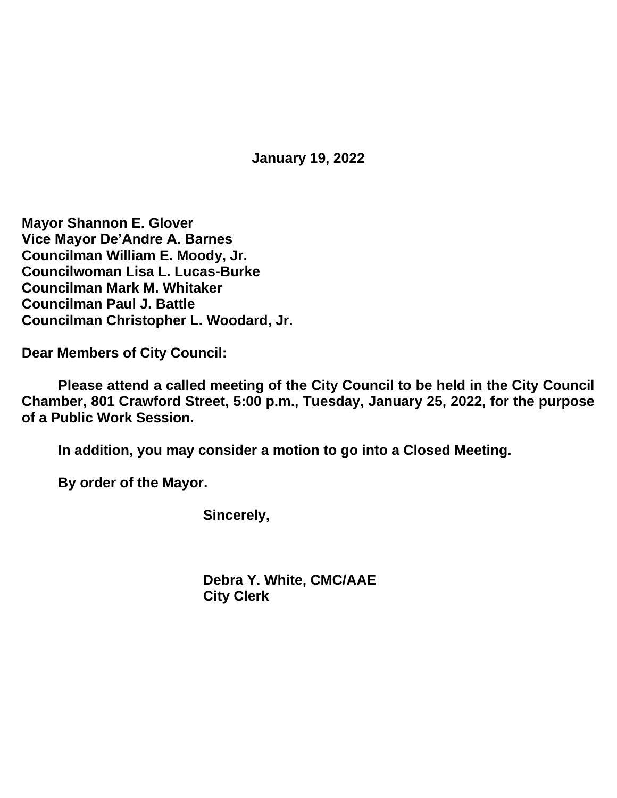**January 19, 2022**

**Mayor Shannon E. Glover Vice Mayor De'Andre A. Barnes Councilman William E. Moody, Jr. Councilwoman Lisa L. Lucas-Burke Councilman Mark M. Whitaker Councilman Paul J. Battle Councilman Christopher L. Woodard, Jr.**

**Dear Members of City Council:**

**Please attend a called meeting of the City Council to be held in the City Council Chamber, 801 Crawford Street, 5:00 p.m., Tuesday, January 25, 2022, for the purpose of a Public Work Session.**

**In addition, you may consider a motion to go into a Closed Meeting.**

**By order of the Mayor.**

**Sincerely,**

**Debra Y. White, CMC/AAE City Clerk**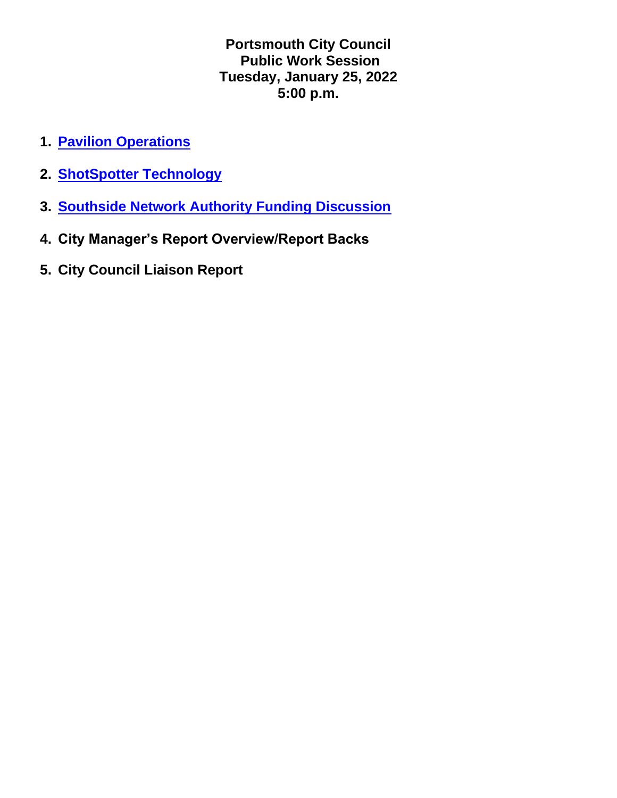**Portsmouth City Council Public Work Session Tuesday, January 25, 2022 5:00 p.m.**

- **1. [Pavilion Operations](https://www.portsmouthva.gov/DocumentCenter/View/11806/Pavilion-Presentation)**
- **2. [ShotSpotter Technology](https://www.portsmouthva.gov/DocumentCenter/View/11741/Portsmouth-VA-1252022)**
- **3. [Southside Network Authority Funding Discussion](https://www.portsmouthva.gov/DocumentCenter/View/11742/Southside-Network-Authority-Presentation-January-25-2022)**
- **4. City Manager's Report Overview/Report Backs**
- **5. City Council Liaison Report**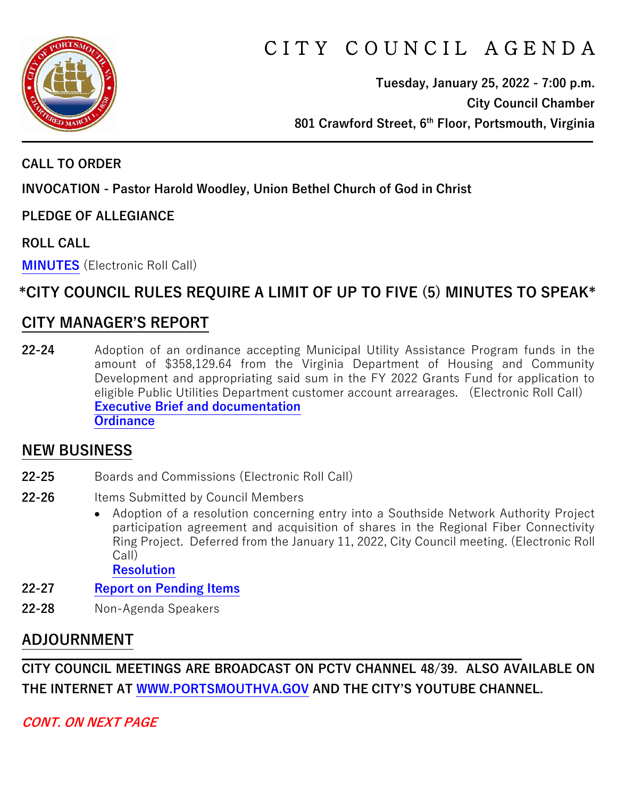

# C I T Y C O U N C I L A G E N D A

**Tuesday, January 25, 2022 - 7:00 p.m. City Council Chamber 801 Crawford Street, 6th Floor, Portsmouth, Virginia**

#### **CALL TO ORDER**

**INVOCATION - Pastor Harold Woodley, Union Bethel Church of God in Christ**

**PLEDGE OF ALLEGIANCE** 

**ROLL CALL**

**[MINUTES](https://www.portsmouthva.gov/DocumentCenter/View/11700/City-Council-Minutes)** (Electronic Roll Call)

# **\*CITY COUNCIL RULES REQUIRE A LIMIT OF UP TO FIVE (5) MINUTES TO SPEAK\***

### **CITY MANAGER'S REPORT**

**22-24** Adoption of an ordinance accepting Municipal Utility Assistance Program funds in the amount of \$358,129.64 from the Virginia Department of Housing and Community Development and appropriating said sum in the FY 2022 Grants Fund for application to eligible Public Utilities Department customer account arrearages. (Electronic Roll Call) **[Executive Brief and documentation](https://www.portsmouthva.gov/DocumentCenter/View/11697/22-24-CMR-and-documentation) [Ordinance](https://www.portsmouthva.gov/DocumentCenter/View/11698/22-24-Ordinance)**

#### **NEW BUSINESS**

- **22-25** Boards and Commissions (Electronic Roll Call)
- 22-26 Items Submitted by Council Members
	- Adoption of a resolution concerning entry into a Southside Network Authority Project participation agreement and acquisition of shares in the Regional Fiber Connectivity Ring Project. Deferred from the January 11, 2022, City Council meeting. (Electronic Roll Call)

**[Resolution](https://www.portsmouthva.gov/DocumentCenter/View/11699/22-26-Resolution)**

- **22-27 [Report on Pending Items](https://www.portsmouthva.gov/DocumentCenter/View/11702/Non-Agenda-Speakers-Report-Final)**
- **22-28** Non-Agenda Speakers

# **ADJOURNMENT**

**CITY COUNCIL MEETINGS ARE BROADCAST ON PCTV CHANNEL 48/39. ALSO AVAILABLE ON THE INTERNET AT [WWW.PORTSMOUTHVA.GOV](http://www.portsmouthva.gov/) AND THE CITY'S YOUTUBE CHANNEL.**

**CONT. ON NEXT PAGE**